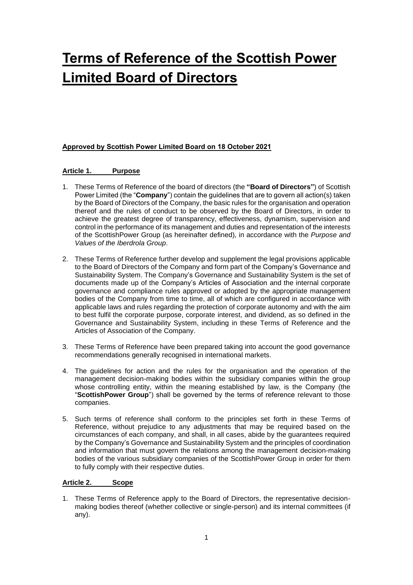# **Terms of Reference of the Scottish Power Limited Board of Directors**

# **Approved by Scottish Power Limited Board on 18 October 2021**

# **Article 1. Purpose**

- 1. These Terms of Reference of the board of directors (the **"Board of Directors"**) of Scottish Power Limited (the "**Company**") contain the guidelines that are to govern all action(s) taken by the Board of Directors of the Company, the basic rules for the organisation and operation thereof and the rules of conduct to be observed by the Board of Directors, in order to achieve the greatest degree of transparency, effectiveness, dynamism, supervision and control in the performance of its management and duties and representation of the interests of the ScottishPower Group (as hereinafter defined), in accordance with the *Purpose and Values of the Iberdrola Group*.
- 2. These Terms of Reference further develop and supplement the legal provisions applicable to the Board of Directors of the Company and form part of the Company's Governance and Sustainability System. The Company's Governance and Sustainability System is the set of documents made up of the Company's Articles of Association and the internal corporate governance and compliance rules approved or adopted by the appropriate management bodies of the Company from time to time, all of which are configured in accordance with applicable laws and rules regarding the protection of corporate autonomy and with the aim to best fulfil the corporate purpose, corporate interest, and dividend, as so defined in the Governance and Sustainability System, including in these Terms of Reference and the Articles of Association of the Company.
- 3. These Terms of Reference have been prepared taking into account the good governance recommendations generally recognised in international markets.
- 4. The guidelines for action and the rules for the organisation and the operation of the management decision-making bodies within the subsidiary companies within the group whose controlling entity, within the meaning established by law, is the Company (the "**ScottishPower Group**") shall be governed by the terms of reference relevant to those companies.
- 5. Such terms of reference shall conform to the principles set forth in these Terms of Reference, without prejudice to any adjustments that may be required based on the circumstances of each company, and shall, in all cases, abide by the guarantees required by the Company's Governance and Sustainability System and the principles of coordination and information that must govern the relations among the management decision-making bodies of the various subsidiary companies of the ScottishPower Group in order for them to fully comply with their respective duties.

# **Article 2. Scope**

1. These Terms of Reference apply to the Board of Directors, the representative decisionmaking bodies thereof (whether collective or single-person) and its internal committees (if any).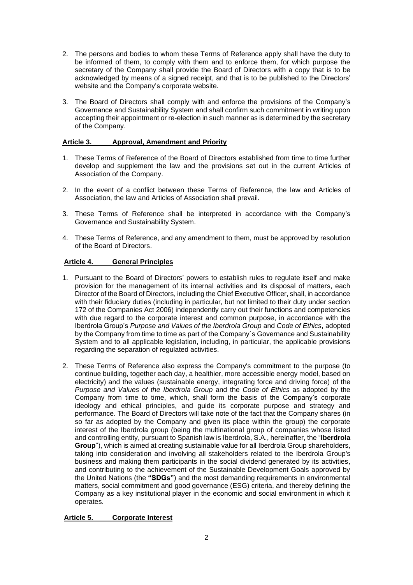- 2. The persons and bodies to whom these Terms of Reference apply shall have the duty to be informed of them, to comply with them and to enforce them, for which purpose the secretary of the Company shall provide the Board of Directors with a copy that is to be acknowledged by means of a signed receipt, and that is to be published to the Directors' website and the Company's corporate website.
- 3. The Board of Directors shall comply with and enforce the provisions of the Company's Governance and Sustainability System and shall confirm such commitment in writing upon accepting their appointment or re-election in such manner as is determined by the secretary of the Company.

# **Article 3. Approval, Amendment and Priority**

- 1. These Terms of Reference of the Board of Directors established from time to time further develop and supplement the law and the provisions set out in the current Articles of Association of the Company.
- 2. In the event of a conflict between these Terms of Reference, the law and Articles of Association, the law and Articles of Association shall prevail.
- 3. These Terms of Reference shall be interpreted in accordance with the Company's Governance and Sustainability System.
- 4. These Terms of Reference, and any amendment to them, must be approved by resolution of the Board of Directors.

# **Article 4. General Principles**

- 1. Pursuant to the Board of Directors' powers to establish rules to regulate itself and make provision for the management of its internal activities and its disposal of matters, each Director of the Board of Directors, including the Chief Executive Officer, shall, in accordance with their fiduciary duties (including in particular, but not limited to their duty under section 172 of the Companies Act 2006) independently carry out their functions and competencies with due regard to the corporate interest and common purpose, in accordance with the Iberdrola Group's *Purpose and Values of the Iberdrola Group* and *Code of Ethics*, adopted by the Company from time to time as part of the Company´s Governance and Sustainability System and to all applicable legislation, including, in particular, the applicable provisions regarding the separation of regulated activities.
- 2. These Terms of Reference also express the Company's commitment to the purpose (to continue building, together each day, a healthier, more accessible energy model, based on electricity) and the values (sustainable energy, integrating force and driving force) of the *Purpose and Values of the Iberdrola Group* and the *Code of Ethics* as adopted by the Company from time to time, which, shall form the basis of the Company's corporate ideology and ethical principles, and guide its corporate purpose and strategy and performance. The Board of Directors will take note of the fact that the Company shares (in so far as adopted by the Company and given its place within the group) the corporate interest of the Iberdrola group (being the multinational group of companies whose listed and controlling entity, pursuant to Spanish law is Iberdrola, S.A., hereinafter, the "**Iberdrola Group**"), which is aimed at creating sustainable value for all Iberdrola Group shareholders, taking into consideration and involving all stakeholders related to the Iberdrola Group's business and making them participants in the social dividend generated by its activities, and contributing to the achievement of the Sustainable Development Goals approved by the United Nations (the **"SDGs"**) and the most demanding requirements in environmental matters, social commitment and good governance (ESG) criteria, and thereby defining the Company as a key institutional player in the economic and social environment in which it operates.

## **Article 5. Corporate Interest**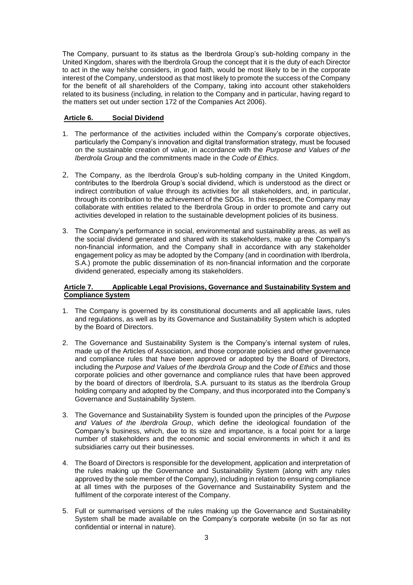The Company, pursuant to its status as the Iberdrola Group's sub-holding company in the United Kingdom, shares with the Iberdrola Group the concept that it is the duty of each Director to act in the way he/she considers, in good faith, would be most likely to be in the corporate interest of the Company, understood as that most likely to promote the success of the Company for the benefit of all shareholders of the Company, taking into account other stakeholders related to its business (including, in relation to the Company and in particular, having regard to the matters set out under section 172 of the Companies Act 2006).

# **Article 6. Social Dividend**

- 1. The performance of the activities included within the Company's corporate objectives, particularly the Company's innovation and digital transformation strategy, must be focused on the sustainable creation of value, in accordance with the *Purpose and Values of the Iberdrola Group* and the commitments made in the *Code of Ethics*.
- 2. The Company, as the Iberdrola Group's sub-holding company in the United Kingdom, contributes to the Iberdrola Group's social dividend, which is understood as the direct or indirect contribution of value through its activities for all stakeholders, and, in particular, through its contribution to the achievement of the SDGs. In this respect, the Company may collaborate with entities related to the Iberdrola Group in order to promote and carry out activities developed in relation to the sustainable development policies of its business.
- 3. The Company's performance in social, environmental and sustainability areas, as well as the social dividend generated and shared with its stakeholders, make up the Company's non-financial information, and the Company shall in accordance with any stakeholder engagement policy as may be adopted by the Company (and in coordination with Iberdrola, S.A.) promote the public dissemination of its non-financial information and the corporate dividend generated, especially among its stakeholders.

# **Article 7. Applicable Legal Provisions, Governance and Sustainability System and Compliance System**

- 1. The Company is governed by its constitutional documents and all applicable laws, rules and regulations, as well as by its Governance and Sustainability System which is adopted by the Board of Directors.
- 2. The Governance and Sustainability System is the Company's internal system of rules, made up of the Articles of Association, and those corporate policies and other governance and compliance rules that have been approved or adopted by the Board of Directors, including the *Purpose and Values of the Iberdrola Group* and the *Code of Ethics* and those corporate policies and other governance and compliance rules that have been approved by the board of directors of Iberdrola, S.A. pursuant to its status as the Iberdrola Group holding company and adopted by the Company, and thus incorporated into the Company's Governance and Sustainability System.
- 3. The Governance and Sustainability System is founded upon the principles of the *Purpose and Values of the Iberdrola Group*, which define the ideological foundation of the Company's business, which, due to its size and importance, is a focal point for a large number of stakeholders and the economic and social environments in which it and its subsidiaries carry out their businesses.
- 4. The Board of Directors is responsible for the development, application and interpretation of the rules making up the Governance and Sustainability System (along with any rules approved by the sole member of the Company), including in relation to ensuring compliance at all times with the purposes of the Governance and Sustainability System and the fulfilment of the corporate interest of the Company.
- 5. Full or summarised versions of the rules making up the Governance and Sustainability System shall be made available on the Company's corporate website (in so far as not confidential or internal in nature).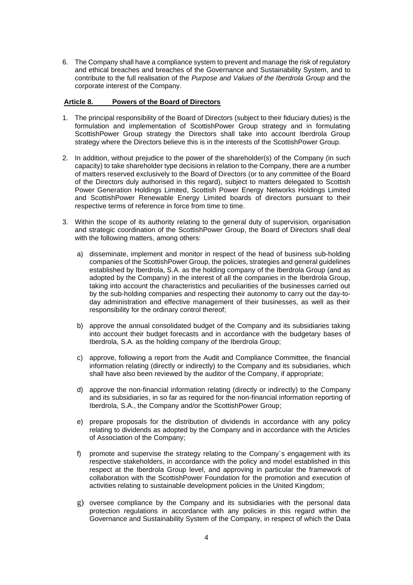6. The Company shall have a compliance system to prevent and manage the risk of regulatory and ethical breaches and breaches of the Governance and Sustainability System, and to contribute to the full realisation of the *Purpose and Values of the Iberdrola Group* and the corporate interest of the Company.

## **Article 8. Powers of the Board of Directors**

- 1. The principal responsibility of the Board of Directors (subject to their fiduciary duties) is the formulation and implementation of ScottishPower Group strategy and in formulating ScottishPower Group strategy the Directors shall take into account Iberdrola Group strategy where the Directors believe this is in the interests of the ScottishPower Group.
- 2. In addition, without prejudice to the power of the shareholder(s) of the Company (in such capacity) to take shareholder type decisions in relation to the Company, there are a number of matters reserved exclusively to the Board of Directors (or to any committee of the Board of the Directors duly authorised in this regard), subject to matters delegated to Scottish Power Generation Holdings Limited, Scottish Power Energy Networks Holdings Limited and ScottishPower Renewable Energy Limited boards of directors pursuant to their respective terms of reference in force from time to time.
- 3. Within the scope of its authority relating to the general duty of supervision, organisation and strategic coordination of the ScottishPower Group, the Board of Directors shall deal with the following matters, among others:
	- a) disseminate, implement and monitor in respect of the head of business sub-holding companies of the ScottishPower Group, the policies, strategies and general guidelines established by Iberdrola, S.A. as the holding company of the Iberdrola Group (and as adopted by the Company) in the interest of all the companies in the Iberdrola Group, taking into account the characteristics and peculiarities of the businesses carried out by the sub-holding companies and respecting their autonomy to carry out the day-today administration and effective management of their businesses, as well as their responsibility for the ordinary control thereof;
	- b) approve the annual consolidated budget of the Company and its subsidiaries taking into account their budget forecasts and in accordance with the budgetary bases of Iberdrola, S.A. as the holding company of the Iberdrola Group;
	- c) approve, following a report from the Audit and Compliance Committee, the financial information relating (directly or indirectly) to the Company and its subsidiaries, which shall have also been reviewed by the auditor of the Company, if appropriate;
	- d) approve the non-financial information relating (directly or indirectly) to the Company and its subsidiaries, in so far as required for the non-financial information reporting of Iberdrola, S.A., the Company and/or the ScottishPower Group;
	- e) prepare proposals for the distribution of dividends in accordance with any policy relating to dividends as adopted by the Company and in accordance with the Articles of Association of the Company;
	- f) promote and supervise the strategy relating to the Company´s engagement with its respective stakeholders, in accordance with the policy and model established in this respect at the Iberdrola Group level, and approving in particular the framework of collaboration with the ScottishPower Foundation for the promotion and execution of activities relating to sustainable development policies in the United Kingdom;
	- g) oversee compliance by the Company and its subsidiaries with the personal data protection regulations in accordance with any policies in this regard within the Governance and Sustainability System of the Company, in respect of which the Data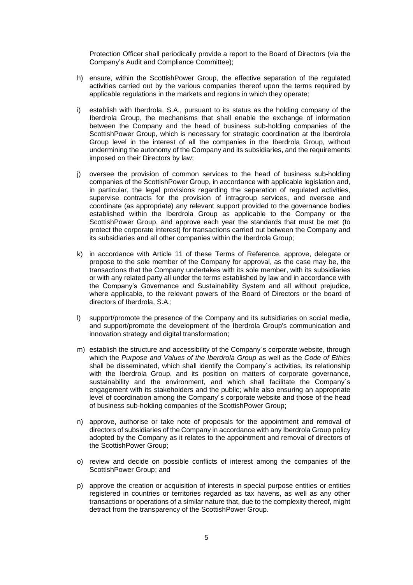Protection Officer shall periodically provide a report to the Board of Directors (via the Company's Audit and Compliance Committee);

- h) ensure, within the ScottishPower Group, the effective separation of the regulated activities carried out by the various companies thereof upon the terms required by applicable regulations in the markets and regions in which they operate;
- i) establish with Iberdrola, S.A., pursuant to its status as the holding company of the Iberdrola Group, the mechanisms that shall enable the exchange of information between the Company and the head of business sub-holding companies of the ScottishPower Group, which is necessary for strategic coordination at the Iberdrola Group level in the interest of all the companies in the Iberdrola Group, without undermining the autonomy of the Company and its subsidiaries, and the requirements imposed on their Directors by law;
- j) oversee the provision of common services to the head of business sub-holding companies of the ScottishPower Group, in accordance with applicable legislation and, in particular, the legal provisions regarding the separation of regulated activities, supervise contracts for the provision of intragroup services, and oversee and coordinate (as appropriate) any relevant support provided to the governance bodies established within the Iberdrola Group as applicable to the Company or the ScottishPower Group, and approve each year the standards that must be met (to protect the corporate interest) for transactions carried out between the Company and its subsidiaries and all other companies within the Iberdrola Group;
- k) in accordance with Article 11 of these Terms of Reference, approve, delegate or propose to the sole member of the Company for approval, as the case may be, the transactions that the Company undertakes with its sole member, with its subsidiaries or with any related party all under the terms established by law and in accordance with the Company's Governance and Sustainability System and all without prejudice, where applicable, to the relevant powers of the Board of Directors or the board of directors of Iberdrola, S.A.;
- support/promote the presence of the Company and its subsidiaries on social media, and support/promote the development of the Iberdrola Group's communication and innovation strategy and digital transformation;
- m) establish the structure and accessibility of the Company´s corporate website, through which the *Purpose and Values of the Iberdrola Group* as well as the *Code of Ethics* shall be disseminated, which shall identify the Company´s activities, its relationship with the Iberdrola Group, and its position on matters of corporate governance, sustainability and the environment, and which shall facilitate the Company's engagement with its stakeholders and the public; while also ensuring an appropriate level of coordination among the Company´s corporate website and those of the head of business sub-holding companies of the ScottishPower Group;
- n) approve, authorise or take note of proposals for the appointment and removal of directors of subsidiaries of the Company in accordance with any Iberdrola Group policy adopted by the Company as it relates to the appointment and removal of directors of the ScottishPower Group;
- o) review and decide on possible conflicts of interest among the companies of the ScottishPower Group; and
- p) approve the creation or acquisition of interests in special purpose entities or entities registered in countries or territories regarded as tax havens, as well as any other transactions or operations of a similar nature that, due to the complexity thereof, might detract from the transparency of the ScottishPower Group.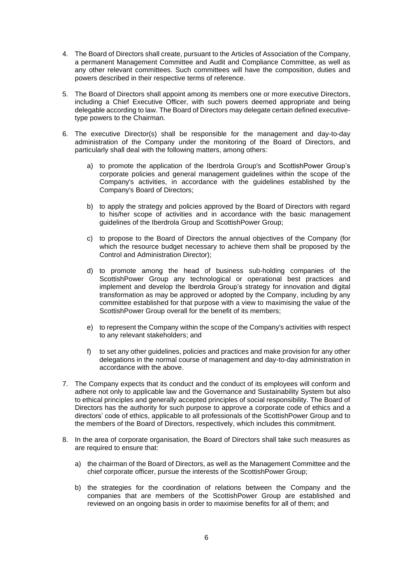- 4. The Board of Directors shall create, pursuant to the Articles of Association of the Company, a permanent Management Committee and Audit and Compliance Committee, as well as any other relevant committees. Such committees will have the composition, duties and powers described in their respective terms of reference.
- 5. The Board of Directors shall appoint among its members one or more executive Directors, including a Chief Executive Officer, with such powers deemed appropriate and being delegable according to law. The Board of Directors may delegate certain defined executivetype powers to the Chairman.
- 6. The executive Director(s) shall be responsible for the management and day-to-day administration of the Company under the monitoring of the Board of Directors, and particularly shall deal with the following matters, among others:
	- a) to promote the application of the Iberdrola Group's and ScottishPower Group's corporate policies and general management guidelines within the scope of the Company's activities, in accordance with the guidelines established by the Company's Board of Directors;
	- b) to apply the strategy and policies approved by the Board of Directors with regard to his/her scope of activities and in accordance with the basic management guidelines of the Iberdrola Group and ScottishPower Group;
	- c) to propose to the Board of Directors the annual objectives of the Company (for which the resource budget necessary to achieve them shall be proposed by the Control and Administration Director);
	- d) to promote among the head of business sub-holding companies of the ScottishPower Group any technological or operational best practices and implement and develop the Iberdrola Group's strategy for innovation and digital transformation as may be approved or adopted by the Company, including by any committee established for that purpose with a view to maximising the value of the ScottishPower Group overall for the benefit of its members;
	- e) to represent the Company within the scope of the Company's activities with respect to any relevant stakeholders; and
	- f) to set any other guidelines, policies and practices and make provision for any other delegations in the normal course of management and day-to-day administration in accordance with the above.
- 7. The Company expects that its conduct and the conduct of its employees will conform and adhere not only to applicable law and the Governance and Sustainability System but also to ethical principles and generally accepted principles of social responsibility. The Board of Directors has the authority for such purpose to approve a corporate code of ethics and a directors' code of ethics, applicable to all professionals of the ScottishPower Group and to the members of the Board of Directors, respectively, which includes this commitment.
- 8. In the area of corporate organisation, the Board of Directors shall take such measures as are required to ensure that:
	- a) the chairman of the Board of Directors, as well as the Management Committee and the chief corporate officer, pursue the interests of the ScottishPower Group;
	- b) the strategies for the coordination of relations between the Company and the companies that are members of the ScottishPower Group are established and reviewed on an ongoing basis in order to maximise benefits for all of them; and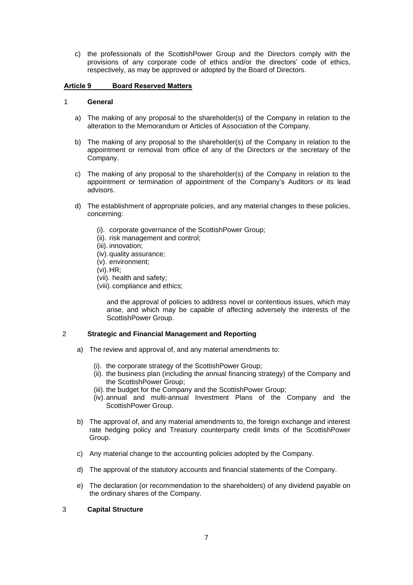c) the professionals of the ScottishPower Group and the Directors comply with the provisions of any corporate code of ethics and/or the directors' code of ethics, respectively, as may be approved or adopted by the Board of Directors.

# **Article 9 Board Reserved Matters**

## 1 **General**

- a) The making of any proposal to the shareholder(s) of the Company in relation to the alteration to the Memorandum or Articles of Association of the Company.
- b) The making of any proposal to the shareholder(s) of the Company in relation to the appointment or removal from office of any of the Directors or the secretary of the Company.
- c) The making of any proposal to the shareholder(s) of the Company in relation to the appointment or termination of appointment of the Company's Auditors or its lead advisors.
- d) The establishment of appropriate policies, and any material changes to these policies, concerning:
	- (i). corporate governance of the ScottishPower Group;
	- (ii). risk management and control;
	- (iii). innovation;
	- (iv).quality assurance;
	- (v). environment;
	- (vi).HR;
	- (vii). health and safety;
	- (viii). compliance and ethics;

and the approval of policies to address novel or contentious issues, which may arise, and which may be capable of affecting adversely the interests of the ScottishPower Group.

## 2 **Strategic and Financial Management and Reporting**

- a) The review and approval of, and any material amendments to:
	- (i). the corporate strategy of the ScottishPower Group;
	- (ii). the business plan (including the annual financing strategy) of the Company and the ScottishPower Group;
	- (iii). the budget for the Company and the ScottishPower Group;
	- (iv).annual and multi-annual Investment Plans of the Company and the ScottishPower Group.
- b) The approval of, and any material amendments to, the foreign exchange and interest rate hedging policy and Treasury counterparty credit limits of the ScottishPower Group.
- c) Any material change to the accounting policies adopted by the Company.
- d) The approval of the statutory accounts and financial statements of the Company.
- e) The declaration (or recommendation to the shareholders) of any dividend payable on the ordinary shares of the Company.

# 3 **Capital Structure**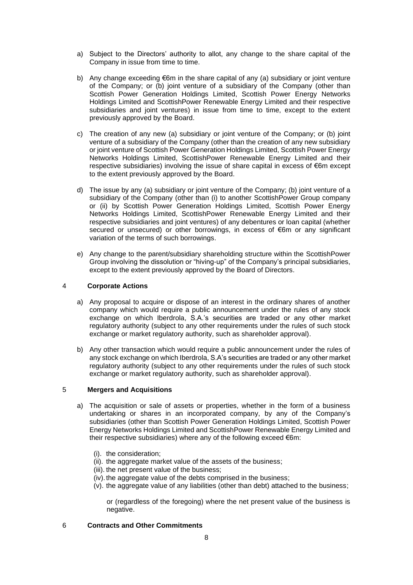- a) Subject to the Directors' authority to allot, any change to the share capital of the Company in issue from time to time.
- b) Any change exceeding  $\epsilon$ 6m in the share capital of any (a) subsidiary or joint venture of the Company; or (b) joint venture of a subsidiary of the Company (other than Scottish Power Generation Holdings Limited, Scottish Power Energy Networks Holdings Limited and ScottishPower Renewable Energy Limited and their respective subsidiaries and joint ventures) in issue from time to time, except to the extent previously approved by the Board.
- c) The creation of any new (a) subsidiary or joint venture of the Company; or (b) joint venture of a subsidiary of the Company (other than the creation of any new subsidiary or joint venture of Scottish Power Generation Holdings Limited, Scottish Power Energy Networks Holdings Limited, ScottishPower Renewable Energy Limited and their respective subsidiaries) involving the issue of share capital in excess of €6m except to the extent previously approved by the Board.
- d) The issue by any (a) subsidiary or joint venture of the Company; (b) joint venture of a subsidiary of the Company (other than (i) to another ScottishPower Group company or (ii) by Scottish Power Generation Holdings Limited, Scottish Power Energy Networks Holdings Limited, ScottishPower Renewable Energy Limited and their respective subsidiaries and joint ventures) of any debentures or loan capital (whether secured or unsecured) or other borrowings, in excess of €6m or any significant variation of the terms of such borrowings.
- e) Any change to the parent/subsidiary shareholding structure within the ScottishPower Group involving the dissolution or "hiving-up" of the Company's principal subsidiaries, except to the extent previously approved by the Board of Directors.

# 4 **Corporate Actions**

- a) Any proposal to acquire or dispose of an interest in the ordinary shares of another company which would require a public announcement under the rules of any stock exchange on which Iberdrola, S.A.'s securities are traded or any other market regulatory authority (subject to any other requirements under the rules of such stock exchange or market regulatory authority, such as shareholder approval).
- b) Any other transaction which would require a public announcement under the rules of any stock exchange on which Iberdrola, S.A's securities are traded or any other market regulatory authority (subject to any other requirements under the rules of such stock exchange or market regulatory authority, such as shareholder approval).

## 5 **Mergers and Acquisitions**

- a) The acquisition or sale of assets or properties, whether in the form of a business undertaking or shares in an incorporated company, by any of the Company's subsidiaries (other than Scottish Power Generation Holdings Limited, Scottish Power Energy Networks Holdings Limited and ScottishPower Renewable Energy Limited and their respective subsidiaries) where any of the following exceed €6m:
	- (i). the consideration;
	- (ii). the aggregate market value of the assets of the business;
	- (iii). the net present value of the business;
	- (iv). the aggregate value of the debts comprised in the business;
	- (v). the aggregate value of any liabilities (other than debt) attached to the business;

or (regardless of the foregoing) where the net present value of the business is negative.

## 6 **Contracts and Other Commitments**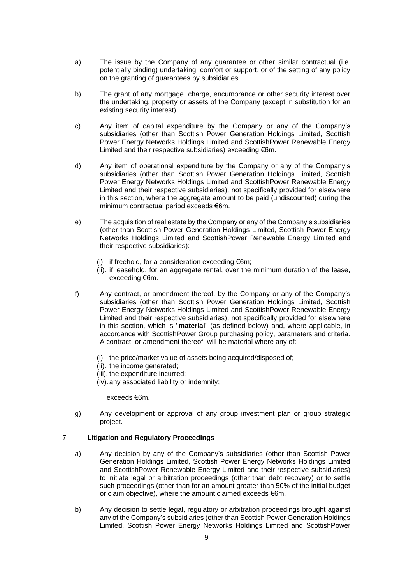- a) The issue by the Company of any guarantee or other similar contractual (i.e. potentially binding) undertaking, comfort or support, or of the setting of any policy on the granting of guarantees by subsidiaries.
- b) The grant of any mortgage, charge, encumbrance or other security interest over the undertaking, property or assets of the Company (except in substitution for an existing security interest).
- c) Any item of capital expenditure by the Company or any of the Company's subsidiaries (other than Scottish Power Generation Holdings Limited, Scottish Power Energy Networks Holdings Limited and ScottishPower Renewable Energy Limited and their respective subsidiaries) exceeding €6m.
- d) Any item of operational expenditure by the Company or any of the Company's subsidiaries (other than Scottish Power Generation Holdings Limited, Scottish Power Energy Networks Holdings Limited and ScottishPower Renewable Energy Limited and their respective subsidiaries), not specifically provided for elsewhere in this section, where the aggregate amount to be paid (undiscounted) during the minimum contractual period exceeds €6m.
- e) The acquisition of real estate by the Company or any of the Company's subsidiaries (other than Scottish Power Generation Holdings Limited, Scottish Power Energy Networks Holdings Limited and ScottishPower Renewable Energy Limited and their respective subsidiaries):
	- (i). if freehold, for a consideration exceeding  $\epsilon$ 6m;
	- (ii). if leasehold, for an aggregate rental, over the minimum duration of the lease, exceeding €6m.
- f) Any contract, or amendment thereof, by the Company or any of the Company's subsidiaries (other than Scottish Power Generation Holdings Limited, Scottish Power Energy Networks Holdings Limited and ScottishPower Renewable Energy Limited and their respective subsidiaries), not specifically provided for elsewhere in this section, which is "**material**" (as defined below) and, where applicable, in accordance with ScottishPower Group purchasing policy, parameters and criteria. A contract, or amendment thereof, will be material where any of:
	- (i). the price/market value of assets being acquired/disposed of;
	- (ii). the income generated;
	- (iii). the expenditure incurred;
	- (iv).any associated liability or indemnity;

exceeds €6m.

g) Any development or approval of any group investment plan or group strategic project.

# 7 **Litigation and Regulatory Proceedings**

- a) Any decision by any of the Company's subsidiaries (other than Scottish Power Generation Holdings Limited, Scottish Power Energy Networks Holdings Limited and ScottishPower Renewable Energy Limited and their respective subsidiaries) to initiate legal or arbitration proceedings (other than debt recovery) or to settle such proceedings (other than for an amount greater than 50% of the initial budget or claim objective), where the amount claimed exceeds €6m.
- b) Any decision to settle legal, regulatory or arbitration proceedings brought against any of the Company's subsidiaries (other than Scottish Power Generation Holdings Limited, Scottish Power Energy Networks Holdings Limited and ScottishPower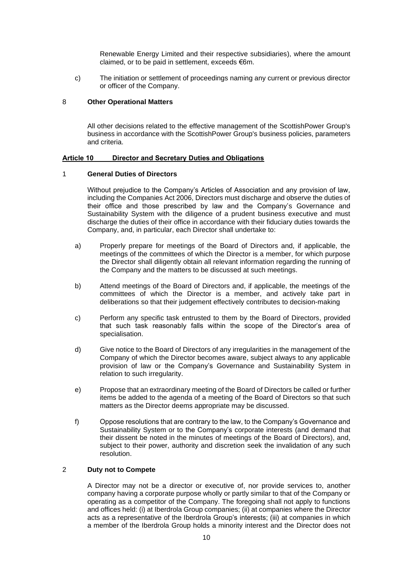Renewable Energy Limited and their respective subsidiaries), where the amount claimed, or to be paid in settlement, exceeds €6m.

c) The initiation or settlement of proceedings naming any current or previous director or officer of the Company.

# 8 **Other Operational Matters**

All other decisions related to the effective management of the ScottishPower Group's business in accordance with the ScottishPower Group's business policies, parameters and criteria.

#### **Article 10 Director and Secretary Duties and Obligations**

# 1 **General Duties of Directors**

Without prejudice to the Company's Articles of Association and any provision of law, including the Companies Act 2006, Directors must discharge and observe the duties of their office and those prescribed by law and the Company's Governance and Sustainability System with the diligence of a prudent business executive and must discharge the duties of their office in accordance with their fiduciary duties towards the Company, and, in particular, each Director shall undertake to:

- a) Properly prepare for meetings of the Board of Directors and, if applicable, the meetings of the committees of which the Director is a member, for which purpose the Director shall diligently obtain all relevant information regarding the running of the Company and the matters to be discussed at such meetings.
- b) Attend meetings of the Board of Directors and, if applicable, the meetings of the committees of which the Director is a member, and actively take part in deliberations so that their judgement effectively contributes to decision-making
- c) Perform any specific task entrusted to them by the Board of Directors, provided that such task reasonably falls within the scope of the Director's area of specialisation.
- d) Give notice to the Board of Directors of any irregularities in the management of the Company of which the Director becomes aware, subject always to any applicable provision of law or the Company's Governance and Sustainability System in relation to such irregularity.
- e) Propose that an extraordinary meeting of the Board of Directors be called or further items be added to the agenda of a meeting of the Board of Directors so that such matters as the Director deems appropriate may be discussed.
- f) Oppose resolutions that are contrary to the law, to the Company's Governance and Sustainability System or to the Company's corporate interests (and demand that their dissent be noted in the minutes of meetings of the Board of Directors), and, subject to their power, authority and discretion seek the invalidation of any such resolution.

# 2 **Duty not to Compete**

A Director may not be a director or executive of, nor provide services to, another company having a corporate purpose wholly or partly similar to that of the Company or operating as a competitor of the Company. The foregoing shall not apply to functions and offices held: (i) at Iberdrola Group companies; (ii) at companies where the Director acts as a representative of the Iberdrola Group's interests; (iii) at companies in which a member of the Iberdrola Group holds a minority interest and the Director does not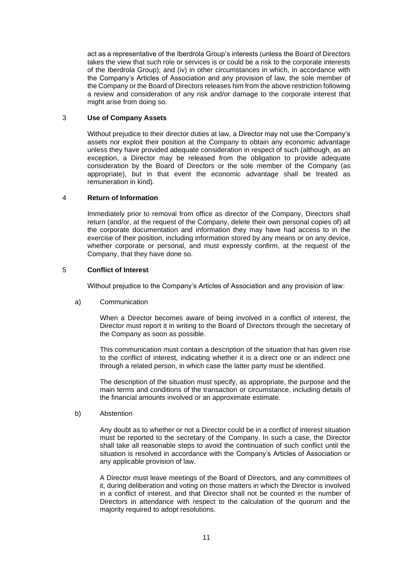act as a representative of the Iberdrola Group's interests (unless the Board of Directors takes the view that such role or services is or could be a risk to the corporate interests of the Iberdrola Group); and (iv) in other circumstances in which, in accordance with the Company's Articles of Association and any provision of law, the sole member of the Company or the Board of Directors releases him from the above restriction following a review and consideration of any risk and/or damage to the corporate interest that might arise from doing so.

# 3 **Use of Company Assets**

Without prejudice to their director duties at law, a Director may not use the Company's assets nor exploit their position at the Company to obtain any economic advantage unless they have provided adequate consideration in respect of such (although, as an exception, a Director may be released from the obligation to provide adequate consideration by the Board of Directors or the sole member of the Company (as appropriate), but in that event the economic advantage shall be treated as remuneration in kind).

#### 4 **Return of Information**

Immediately prior to removal from office as director of the Company, Directors shall return (and/or, at the request of the Company, delete their own personal copies of) all the corporate documentation and information they may have had access to in the exercise of their position, including information stored by any means or on any device, whether corporate or personal, and must expressly confirm, at the request of the Company, that they have done so.

## 5 **Conflict of Interest**

Without prejudice to the Company's Articles of Association and any provision of law:

#### a) Communication

When a Director becomes aware of being involved in a conflict of interest, the Director must report it in writing to the Board of Directors through the secretary of the Company as soon as possible.

This communication must contain a description of the situation that has given rise to the conflict of interest, indicating whether it is a direct one or an indirect one through a related person, in which case the latter party must be identified.

The description of the situation must specify, as appropriate, the purpose and the main terms and conditions of the transaction or circumstance, including details of the financial amounts involved or an approximate estimate.

#### b) Abstention

Any doubt as to whether or not a Director could be in a conflict of interest situation must be reported to the secretary of the Company. In such a case, the Director shall take all reasonable steps to avoid the continuation of such conflict until the situation is resolved in accordance with the Company's Articles of Association or any applicable provision of law.

A Director must leave meetings of the Board of Directors, and any committees of it, during deliberation and voting on those matters in which the Director is involved in a conflict of interest, and that Director shall not be counted in the number of Directors in attendance with respect to the calculation of the quorum and the majority required to adopt resolutions.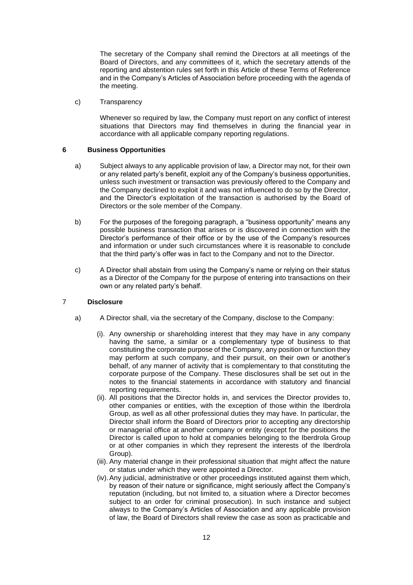The secretary of the Company shall remind the Directors at all meetings of the Board of Directors, and any committees of it, which the secretary attends of the reporting and abstention rules set forth in this Article of these Terms of Reference and in the Company's Articles of Association before proceeding with the agenda of the meeting.

c) Transparency

Whenever so required by law, the Company must report on any conflict of interest situations that Directors may find themselves in during the financial year in accordance with all applicable company reporting regulations.

# **6 Business Opportunities**

- a) Subject always to any applicable provision of law, a Director may not, for their own or any related party's benefit, exploit any of the Company's business opportunities, unless such investment or transaction was previously offered to the Company and the Company declined to exploit it and was not influenced to do so by the Director, and the Director's exploitation of the transaction is authorised by the Board of Directors or the sole member of the Company.
- b) For the purposes of the foregoing paragraph, a "business opportunity" means any possible business transaction that arises or is discovered in connection with the Director's performance of their office or by the use of the Company's resources and information or under such circumstances where it is reasonable to conclude that the third party's offer was in fact to the Company and not to the Director.
- c) A Director shall abstain from using the Company's name or relying on their status as a Director of the Company for the purpose of entering into transactions on their own or any related party's behalf.

# 7 **Disclosure**

- a) A Director shall, via the secretary of the Company, disclose to the Company:
	- (i). Any ownership or shareholding interest that they may have in any company having the same, a similar or a complementary type of business to that constituting the corporate purpose of the Company, any position or function they may perform at such company, and their pursuit, on their own or another's behalf, of any manner of activity that is complementary to that constituting the corporate purpose of the Company. These disclosures shall be set out in the notes to the financial statements in accordance with statutory and financial reporting requirements.
	- (ii). All positions that the Director holds in, and services the Director provides to, other companies or entities, with the exception of those within the Iberdrola Group, as well as all other professional duties they may have. In particular, the Director shall inform the Board of Directors prior to accepting any directorship or managerial office at another company or entity (except for the positions the Director is called upon to hold at companies belonging to the Iberdrola Group or at other companies in which they represent the interests of the Iberdrola Group).
	- (iii). Any material change in their professional situation that might affect the nature or status under which they were appointed a Director.
	- (iv).Any judicial, administrative or other proceedings instituted against them which, by reason of their nature or significance, might seriously affect the Company's reputation (including, but not limited to, a situation where a Director becomes subject to an order for criminal prosecution). In such instance and subject always to the Company's Articles of Association and any applicable provision of law, the Board of Directors shall review the case as soon as practicable and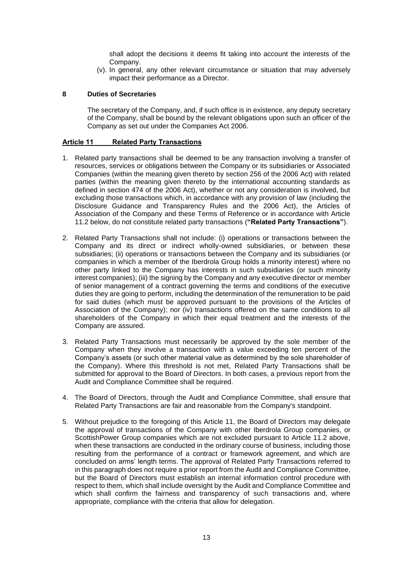shall adopt the decisions it deems fit taking into account the interests of the Company.

(v). In general, any other relevant circumstance or situation that may adversely impact their performance as a Director.

#### **8 Duties of Secretaries**

The secretary of the Company, and, if such office is in existence, any deputy secretary of the Company, shall be bound by the relevant obligations upon such an officer of the Company as set out under the Companies Act 2006.

#### **Article 11 Related Party Transactions**

- 1. Related party transactions shall be deemed to be any transaction involving a transfer of resources, services or obligations between the Company or its subsidiaries or Associated Companies (within the meaning given thereto by section 256 of the 2006 Act) with related parties (within the meaning given thereto by the international accounting standards as defined in section 474 of the 2006 Act), whether or not any consideration is involved, but excluding those transactions which, in accordance with any provision of law (including the Disclosure Guidance and Transparency Rules and the 2006 Act), the Articles of Association of the Company and these Terms of Reference or in accordance with Article 11.2 below, do not constitute related party transactions (**"Related Party Transactions"**).
- 2. Related Party Transactions shall not include: (i) operations or transactions between the Company and its direct or indirect wholly-owned subsidiaries, or between these subsidiaries; (ii) operations or transactions between the Company and its subsidiaries (or companies in which a member of the Iberdrola Group holds a minority interest) where no other party linked to the Company has interests in such subsidiaries (or such minority interest companies); (iii) the signing by the Company and any executive director or member of senior management of a contract governing the terms and conditions of the executive duties they are going to perform, including the determination of the remuneration to be paid for said duties (which must be approved pursuant to the provisions of the Articles of Association of the Company); nor (iv) transactions offered on the same conditions to all shareholders of the Company in which their equal treatment and the interests of the Company are assured.
- 3. Related Party Transactions must necessarily be approved by the sole member of the Company when they involve a transaction with a value exceeding ten percent of the Company's assets (or such other material value as determined by the sole shareholder of the Company). Where this threshold is not met, Related Party Transactions shall be submitted for approval to the Board of Directors. In both cases, a previous report from the Audit and Compliance Committee shall be required.
- 4. The Board of Directors, through the Audit and Compliance Committee, shall ensure that Related Party Transactions are fair and reasonable from the Company's standpoint.
- 5. Without prejudice to the foregoing of this Article 11, the Board of Directors may delegate the approval of transactions of the Company with other Iberdrola Group companies, or ScottishPower Group companies which are not excluded pursuant to Article 11.2 above, when these transactions are conducted in the ordinary course of business, including those resulting from the performance of a contract or framework agreement, and which are concluded on arms' length terms. The approval of Related Party Transactions referred to in this paragraph does not require a prior report from the Audit and Compliance Committee, but the Board of Directors must establish an internal information control procedure with respect to them, which shall include oversight by the Audit and Compliance Committee and which shall confirm the fairness and transparency of such transactions and, where appropriate, compliance with the criteria that allow for delegation.